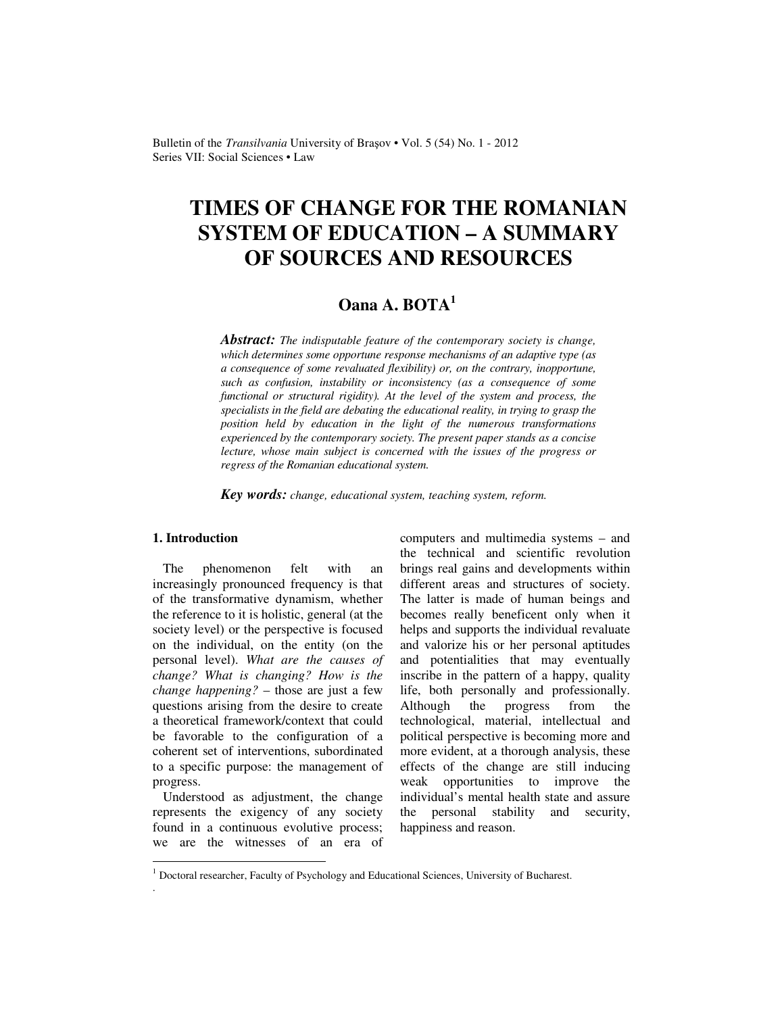Bulletin of the *Transilvania* University of Braşov • Vol. 5 (54) No. 1 - 2012 Series VII: Social Sciences • Law

# **TIMES OF CHANGE FOR THE ROMANIAN SYSTEM OF EDUCATION – A SUMMARY OF SOURCES AND RESOURCES**

# **Oana A. BOTA<sup>1</sup>**

*Abstract: The indisputable feature of the contemporary society is change, which determines some opportune response mechanisms of an adaptive type (as a consequence of some revaluated flexibility) or, on the contrary, inopportune, such as confusion, instability or inconsistency (as a consequence of some functional or structural rigidity). At the level of the system and process, the specialists in the field are debating the educational reality, in trying to grasp the position held by education in the light of the numerous transformations experienced by the contemporary society. The present paper stands as a concise lecture, whose main subject is concerned with the issues of the progress or regress of the Romanian educational system.* 

*Key words: change, educational system, teaching system, reform.*

## **1. Introduction**

 $\overline{a}$ 

.

The phenomenon felt with an increasingly pronounced frequency is that of the transformative dynamism, whether the reference to it is holistic, general (at the society level) or the perspective is focused on the individual, on the entity (on the personal level). *What are the causes of change? What is changing? How is the change happening?* – those are just a few questions arising from the desire to create a theoretical framework/context that could be favorable to the configuration of a coherent set of interventions, subordinated to a specific purpose: the management of progress.

Understood as adjustment, the change represents the exigency of any society found in a continuous evolutive process; we are the witnesses of an era of computers and multimedia systems – and the technical and scientific revolution brings real gains and developments within different areas and structures of society. The latter is made of human beings and becomes really beneficent only when it helps and supports the individual revaluate and valorize his or her personal aptitudes and potentialities that may eventually inscribe in the pattern of a happy, quality life, both personally and professionally. Although the progress from the technological, material, intellectual and political perspective is becoming more and more evident, at a thorough analysis, these effects of the change are still inducing weak opportunities to improve the individual's mental health state and assure the personal stability and security, happiness and reason.

<sup>&</sup>lt;sup>1</sup> Doctoral researcher, Faculty of Psychology and Educational Sciences, University of Bucharest.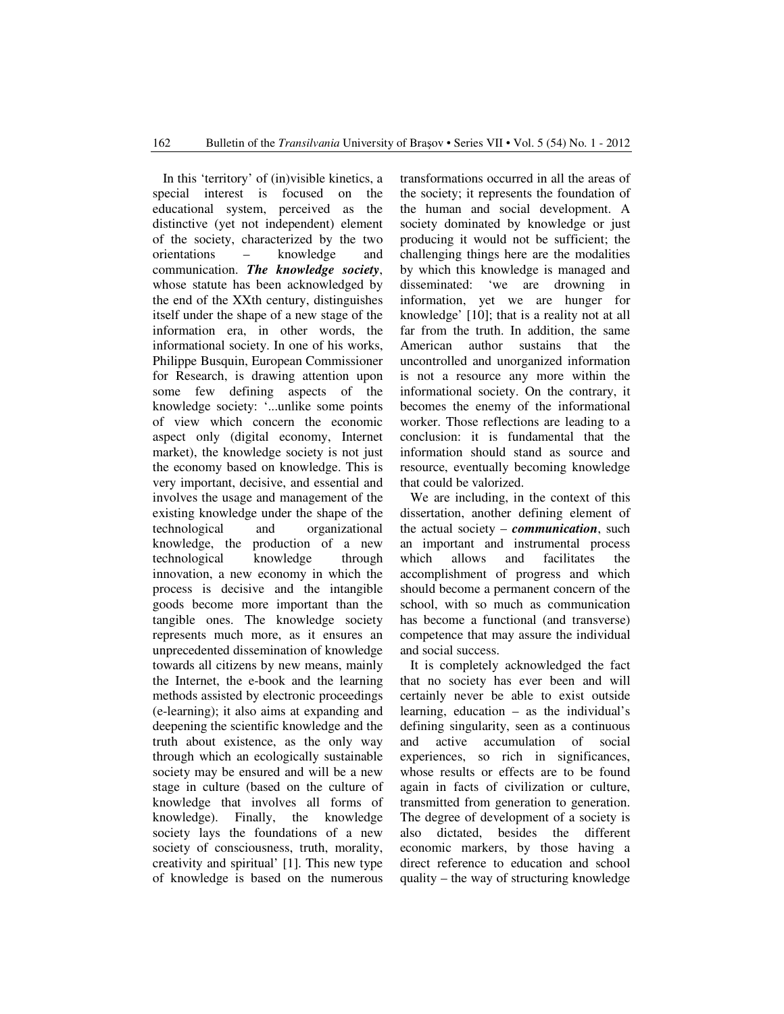In this 'territory' of (in)visible kinetics, a special interest is focused on the educational system, perceived as the distinctive (yet not independent) element of the society, characterized by the two orientations – knowledge and communication. *The knowledge society*, whose statute has been acknowledged by the end of the XXth century, distinguishes itself under the shape of a new stage of the information era, in other words, the informational society. In one of his works, Philippe Busquin, European Commissioner for Research, is drawing attention upon some few defining aspects of the knowledge society: '...unlike some points of view which concern the economic aspect only (digital economy, Internet market), the knowledge society is not just the economy based on knowledge. This is very important, decisive, and essential and involves the usage and management of the existing knowledge under the shape of the technological and organizational knowledge, the production of a new technological knowledge through innovation, a new economy in which the process is decisive and the intangible goods become more important than the tangible ones. The knowledge society represents much more, as it ensures an unprecedented dissemination of knowledge towards all citizens by new means, mainly the Internet, the e-book and the learning methods assisted by electronic proceedings (e-learning); it also aims at expanding and deepening the scientific knowledge and the truth about existence, as the only way through which an ecologically sustainable society may be ensured and will be a new stage in culture (based on the culture of knowledge that involves all forms of knowledge). Finally, the knowledge society lays the foundations of a new society of consciousness, truth, morality, creativity and spiritual' [1]. This new type of knowledge is based on the numerous transformations occurred in all the areas of the society; it represents the foundation of the human and social development. A society dominated by knowledge or just producing it would not be sufficient; the challenging things here are the modalities by which this knowledge is managed and disseminated: 'we are drowning in information, yet we are hunger for knowledge' [10]; that is a reality not at all far from the truth. In addition, the same American author sustains that the uncontrolled and unorganized information is not a resource any more within the informational society. On the contrary, it becomes the enemy of the informational worker. Those reflections are leading to a conclusion: it is fundamental that the information should stand as source and resource, eventually becoming knowledge that could be valorized.

We are including, in the context of this dissertation, another defining element of the actual society – *communication*, such an important and instrumental process which allows and facilitates the accomplishment of progress and which should become a permanent concern of the school, with so much as communication has become a functional (and transverse) competence that may assure the individual and social success.

It is completely acknowledged the fact that no society has ever been and will certainly never be able to exist outside learning, education – as the individual's defining singularity, seen as a continuous and active accumulation of social experiences, so rich in significances, whose results or effects are to be found again in facts of civilization or culture, transmitted from generation to generation. The degree of development of a society is also dictated, besides the different economic markers, by those having a direct reference to education and school quality – the way of structuring knowledge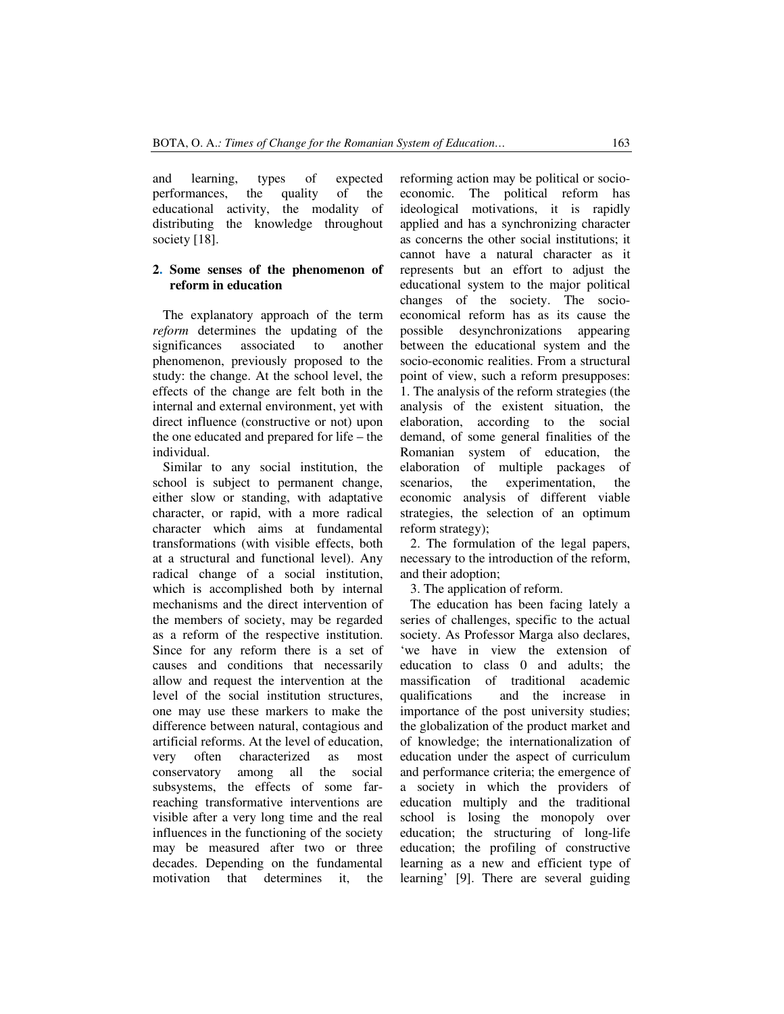and learning, types of expected performances, the quality of the educational activity, the modality of distributing the knowledge throughout society [18].

#### **2. Some senses of the phenomenon of reform in education**

The explanatory approach of the term *reform* determines the updating of the significances associated to another phenomenon, previously proposed to the study: the change. At the school level, the effects of the change are felt both in the internal and external environment, yet with direct influence (constructive or not) upon the one educated and prepared for life – the individual.

Similar to any social institution, the school is subject to permanent change, either slow or standing, with adaptative character, or rapid, with a more radical character which aims at fundamental transformations (with visible effects, both at a structural and functional level). Any radical change of a social institution, which is accomplished both by internal mechanisms and the direct intervention of the members of society, may be regarded as a reform of the respective institution. Since for any reform there is a set of causes and conditions that necessarily allow and request the intervention at the level of the social institution structures, one may use these markers to make the difference between natural, contagious and artificial reforms. At the level of education, very often characterized as most conservatory among all the social subsystems, the effects of some farreaching transformative interventions are visible after a very long time and the real influences in the functioning of the society may be measured after two or three decades. Depending on the fundamental motivation that determines it, the reforming action may be political or socioeconomic. The political reform has ideological motivations, it is rapidly applied and has a synchronizing character as concerns the other social institutions; it cannot have a natural character as it represents but an effort to adjust the educational system to the major political changes of the society. The socioeconomical reform has as its cause the possible desynchronizations appearing between the educational system and the socio-economic realities. From a structural point of view, such a reform presupposes: 1. The analysis of the reform strategies (the analysis of the existent situation, the elaboration, according to the social demand, of some general finalities of the Romanian system of education, the elaboration of multiple packages of scenarios, the experimentation, the economic analysis of different viable strategies, the selection of an optimum reform strategy);

2. The formulation of the legal papers, necessary to the introduction of the reform, and their adoption;

3. The application of reform.

The education has been facing lately a series of challenges, specific to the actual society. As Professor Marga also declares, 'we have in view the extension of education to class 0 and adults; the massification of traditional academic qualifications and the increase in importance of the post university studies; the globalization of the product market and of knowledge; the internationalization of education under the aspect of curriculum and performance criteria; the emergence of a society in which the providers of education multiply and the traditional school is losing the monopoly over education; the structuring of long-life education; the profiling of constructive learning as a new and efficient type of learning' [9]. There are several guiding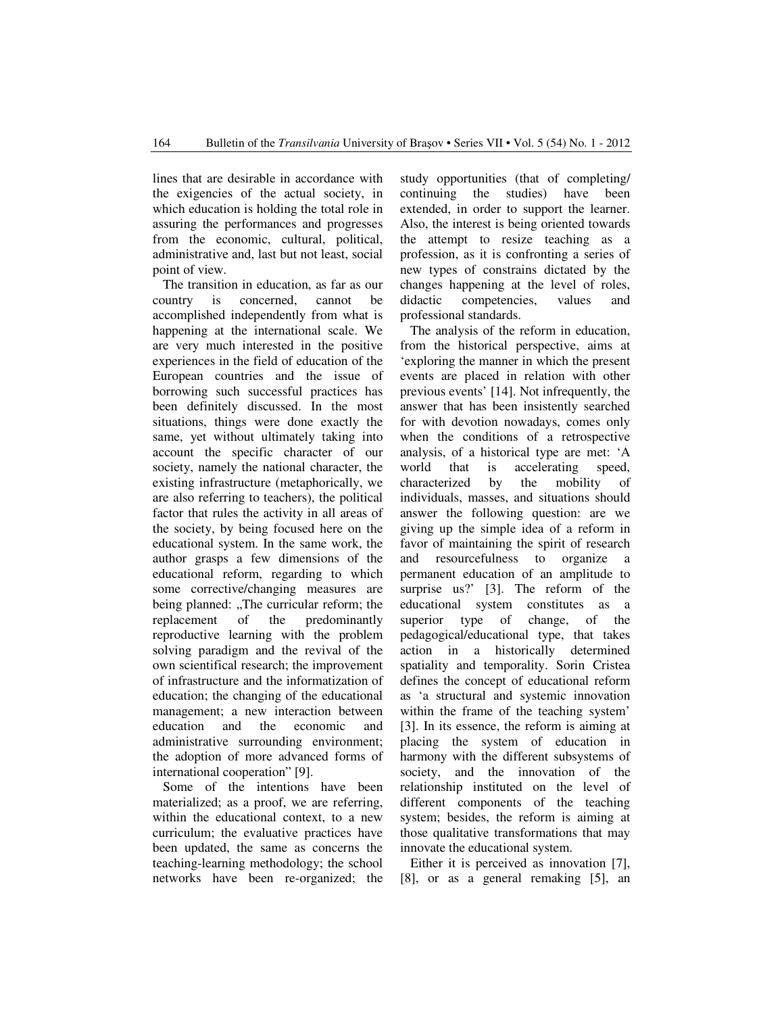lines that are desirable in accordance with the exigencies of the actual society, in which education is holding the total role in assuring the performances and progresses from the economic, cultural, political, administrative and, last but not least, social point of view.

The transition in education, as far as our country is concerned, cannot be accomplished independently from what is happening at the international scale. We are very much interested in the positive experiences in the field of education of the European countries and the issue of borrowing such successful practices has been definitely discussed. In the most situations, things were done exactly the same, yet without ultimately taking into account the specific character of our society, namely the national character, the existing infrastructure (metaphorically, we are also referring to teachers), the political factor that rules the activity in all areas of the society, by being focused here on the educational system. In the same work, the author grasps a few dimensions of the educational reform, regarding to which some corrective/changing measures are being planned: "The curricular reform; the replacement of the predominantly reproductive learning with the problem solving paradigm and the revival of the own scientifical research; the improvement of infrastructure and the informatization of education; the changing of the educational management; a new interaction between education and the economic and administrative surrounding environment; the adoption of more advanced forms of international cooperation" [9].

Some of the intentions have been materialized; as a proof, we are referring, within the educational context, to a new curriculum; the evaluative practices have been updated, the same as concerns the teaching-learning methodology; the school networks have been re-organized; the study opportunities (that of completing/ continuing the studies) have been extended, in order to support the learner. Also, the interest is being oriented towards the attempt to resize teaching as a profession, as it is confronting a series of new types of constrains dictated by the changes happening at the level of roles, didactic competencies, values and professional standards.

The analysis of the reform in education, from the historical perspective, aims at 'exploring the manner in which the present events are placed in relation with other previous events' [14]. Not infrequently, the answer that has been insistently searched for with devotion nowadays, comes only when the conditions of a retrospective analysis, of a historical type are met: 'A world that is accelerating speed, characterized by the mobility of individuals, masses, and situations should answer the following question: are we giving up the simple idea of a reform in favor of maintaining the spirit of research and resourcefulness to organize a permanent education of an amplitude to surprise us?' [3]. The reform of the educational system constitutes as a superior type of change, of the pedagogical/educational type, that takes action in a historically determined spatiality and temporality. Sorin Cristea defines the concept of educational reform as 'a structural and systemic innovation within the frame of the teaching system' [3]. In its essence, the reform is aiming at placing the system of education in harmony with the different subsystems of society, and the innovation of the relationship instituted on the level of different components of the teaching system; besides, the reform is aiming at those qualitative transformations that may innovate the educational system.

Either it is perceived as innovation [7], [8], or as a general remaking [5], an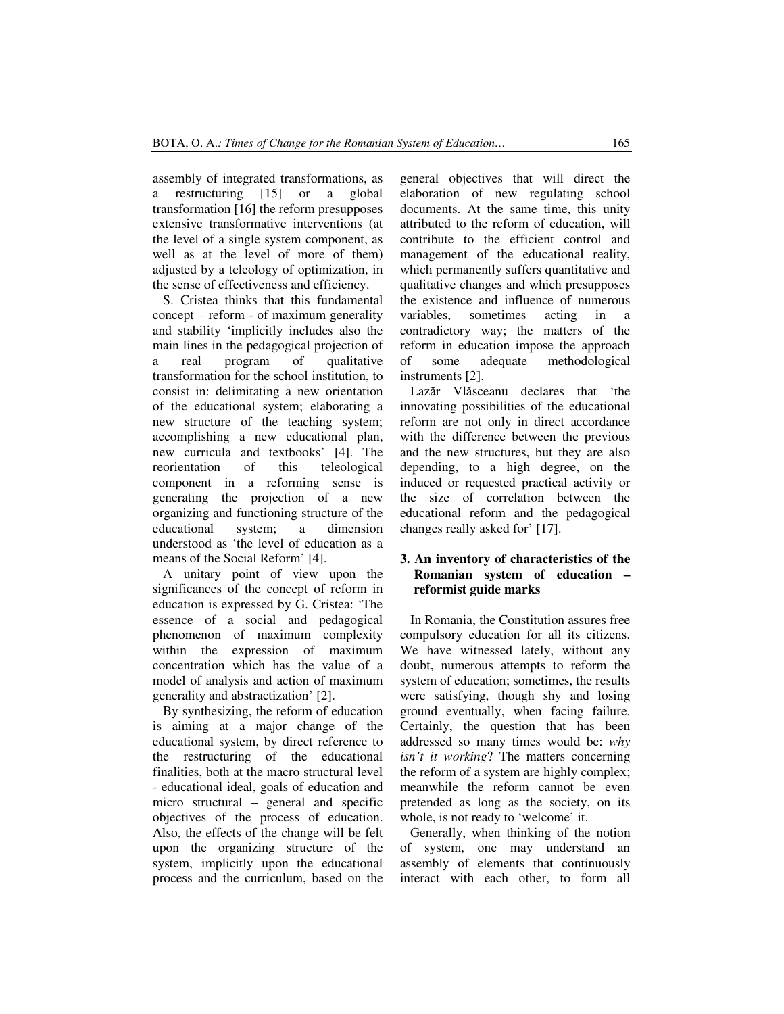assembly of integrated transformations, as a restructuring [15] or a global transformation [16] the reform presupposes extensive transformative interventions (at the level of a single system component, as well as at the level of more of them) adjusted by a teleology of optimization, in the sense of effectiveness and efficiency.

S. Cristea thinks that this fundamental concept – reform - of maximum generality and stability 'implicitly includes also the main lines in the pedagogical projection of a real program of qualitative transformation for the school institution, to consist in: delimitating a new orientation of the educational system; elaborating a new structure of the teaching system; accomplishing a new educational plan, new curricula and textbooks' [4]. The reorientation of this teleological component in a reforming sense is generating the projection of a new organizing and functioning structure of the educational system; a dimension understood as 'the level of education as a means of the Social Reform' [4].

A unitary point of view upon the significances of the concept of reform in education is expressed by G. Cristea: 'The essence of a social and pedagogical phenomenon of maximum complexity within the expression of maximum concentration which has the value of a model of analysis and action of maximum generality and abstractization' [2].

By synthesizing, the reform of education is aiming at a major change of the educational system, by direct reference to the restructuring of the educational finalities, both at the macro structural level - educational ideal, goals of education and micro structural – general and specific objectives of the process of education. Also, the effects of the change will be felt upon the organizing structure of the system, implicitly upon the educational process and the curriculum, based on the general objectives that will direct the elaboration of new regulating school documents. At the same time, this unity attributed to the reform of education, will contribute to the efficient control and management of the educational reality, which permanently suffers quantitative and qualitative changes and which presupposes the existence and influence of numerous variables, sometimes acting in a contradictory way; the matters of the reform in education impose the approach of some adequate methodological instruments [2].

Lazăr Vlăsceanu declares that 'the innovating possibilities of the educational reform are not only in direct accordance with the difference between the previous and the new structures, but they are also depending, to a high degree, on the induced or requested practical activity or the size of correlation between the educational reform and the pedagogical changes really asked for' [17].

# **3. An inventory of characteristics of the Romanian system of education – reformist guide marks**

In Romania, the Constitution assures free compulsory education for all its citizens. We have witnessed lately, without any doubt, numerous attempts to reform the system of education; sometimes, the results were satisfying, though shy and losing ground eventually, when facing failure. Certainly, the question that has been addressed so many times would be: *why isn't it working*? The matters concerning the reform of a system are highly complex; meanwhile the reform cannot be even pretended as long as the society, on its whole, is not ready to 'welcome' it.

Generally, when thinking of the notion of system, one may understand an assembly of elements that continuously interact with each other, to form all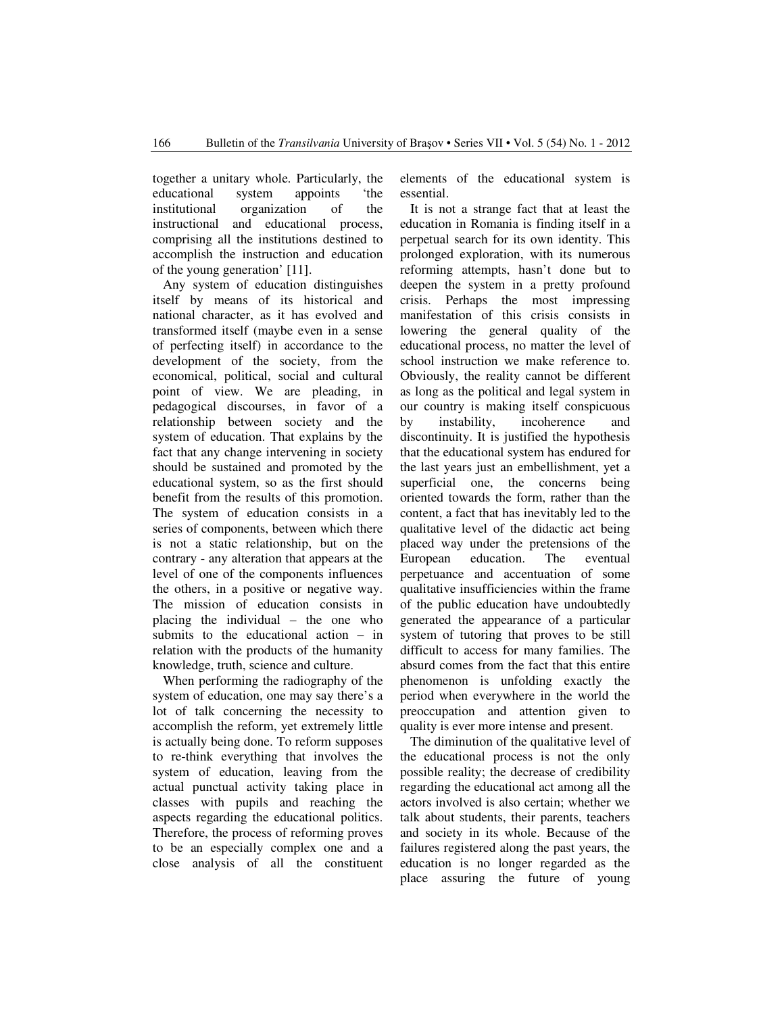together a unitary whole. Particularly, the educational system appoints 'the institutional organization of the instructional and educational process, comprising all the institutions destined to accomplish the instruction and education of the young generation' [11].

Any system of education distinguishes itself by means of its historical and national character, as it has evolved and transformed itself (maybe even in a sense of perfecting itself) in accordance to the development of the society, from the economical, political, social and cultural point of view. We are pleading, in pedagogical discourses, in favor of a relationship between society and the system of education. That explains by the fact that any change intervening in society should be sustained and promoted by the educational system, so as the first should benefit from the results of this promotion. The system of education consists in a series of components, between which there is not a static relationship, but on the contrary - any alteration that appears at the level of one of the components influences the others, in a positive or negative way. The mission of education consists in placing the individual – the one who submits to the educational action – in relation with the products of the humanity knowledge, truth, science and culture.

When performing the radiography of the system of education, one may say there's a lot of talk concerning the necessity to accomplish the reform, yet extremely little is actually being done. To reform supposes to re-think everything that involves the system of education, leaving from the actual punctual activity taking place in classes with pupils and reaching the aspects regarding the educational politics. Therefore, the process of reforming proves to be an especially complex one and a close analysis of all the constituent elements of the educational system is essential.

It is not a strange fact that at least the education in Romania is finding itself in a perpetual search for its own identity. This prolonged exploration, with its numerous reforming attempts, hasn't done but to deepen the system in a pretty profound crisis. Perhaps the most impressing manifestation of this crisis consists in lowering the general quality of the educational process, no matter the level of school instruction we make reference to. Obviously, the reality cannot be different as long as the political and legal system in our country is making itself conspicuous by instability, incoherence and discontinuity. It is justified the hypothesis that the educational system has endured for the last years just an embellishment, yet a superficial one, the concerns being oriented towards the form, rather than the content, a fact that has inevitably led to the qualitative level of the didactic act being placed way under the pretensions of the European education. The eventual perpetuance and accentuation of some qualitative insufficiencies within the frame of the public education have undoubtedly generated the appearance of a particular system of tutoring that proves to be still difficult to access for many families. The absurd comes from the fact that this entire phenomenon is unfolding exactly the period when everywhere in the world the preoccupation and attention given to quality is ever more intense and present.

The diminution of the qualitative level of the educational process is not the only possible reality; the decrease of credibility regarding the educational act among all the actors involved is also certain; whether we talk about students, their parents, teachers and society in its whole. Because of the failures registered along the past years, the education is no longer regarded as the place assuring the future of young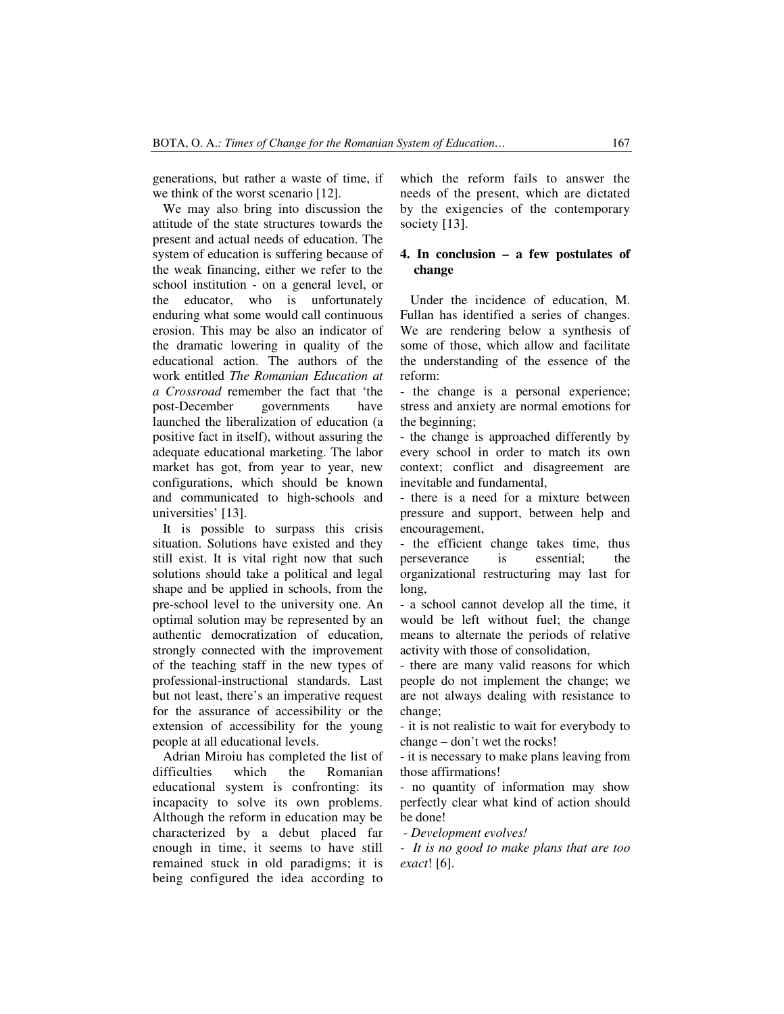generations, but rather a waste of time, if we think of the worst scenario [12].

We may also bring into discussion the attitude of the state structures towards the present and actual needs of education. The system of education is suffering because of the weak financing, either we refer to the school institution - on a general level, or the educator, who is unfortunately enduring what some would call continuous erosion. This may be also an indicator of the dramatic lowering in quality of the educational action. The authors of the work entitled *The Romanian Education at a Crossroad* remember the fact that 'the post-December governments have launched the liberalization of education (a positive fact in itself), without assuring the adequate educational marketing. The labor market has got, from year to year, new configurations, which should be known and communicated to high-schools and universities' [13].

It is possible to surpass this crisis situation. Solutions have existed and they still exist. It is vital right now that such solutions should take a political and legal shape and be applied in schools, from the pre-school level to the university one. An optimal solution may be represented by an authentic democratization of education, strongly connected with the improvement of the teaching staff in the new types of professional-instructional standards. Last but not least, there's an imperative request for the assurance of accessibility or the extension of accessibility for the young people at all educational levels.

Adrian Miroiu has completed the list of difficulties which the Romanian educational system is confronting: its incapacity to solve its own problems. Although the reform in education may be characterized by a debut placed far enough in time, it seems to have still remained stuck in old paradigms; it is being configured the idea according to which the reform fails to answer the needs of the present, which are dictated by the exigencies of the contemporary society [13].

## **4. In conclusion – a few postulates of change**

Under the incidence of education, M. Fullan has identified a series of changes. We are rendering below a synthesis of some of those, which allow and facilitate the understanding of the essence of the reform:

- the change is a personal experience; stress and anxiety are normal emotions for the beginning;

- the change is approached differently by every school in order to match its own context; conflict and disagreement are inevitable and fundamental,

- there is a need for a mixture between pressure and support, between help and encouragement,

- the efficient change takes time, thus perseverance is essential; the organizational restructuring may last for long,

- a school cannot develop all the time, it would be left without fuel; the change means to alternate the periods of relative activity with those of consolidation,

- there are many valid reasons for which people do not implement the change; we are not always dealing with resistance to change;

- it is not realistic to wait for everybody to change – don't wet the rocks!

- it is necessary to make plans leaving from those affirmations!

- no quantity of information may show perfectly clear what kind of action should be done!

- *Development evolves!* 

*- It is no good to make plans that are too exact*! [6].